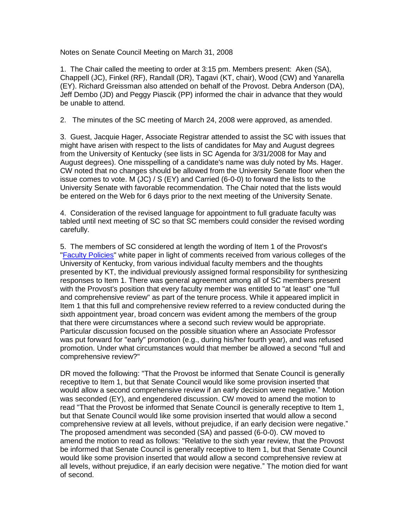Notes on Senate Council Meeting on March 31, 2008

1. The Chair called the meeting to order at 3:15 pm. Members present: Aken (SA), Chappell (JC), Finkel (RF), Randall (DR), Tagavi (KT, chair), Wood (CW) and Yanarella (EY). Richard Greissman also attended on behalf of the Provost. Debra Anderson (DA), Jeff Dembo (JD) and Peggy Piascik (PP) informed the chair in advance that they would be unable to attend.

2. The minutes of the SC meeting of March 24, 2008 were approved, as amended.

3. Guest, Jacquie Hager, Associate Registrar attended to assist the SC with issues that might have arisen with respect to the lists of candidates for May and August degrees from the University of Kentucky (see lists in SC Agenda for 3/31/2008 for May and August degrees). One misspelling of a candidate's name was duly noted by Ms. Hager. CW noted that no changes should be allowed from the University Senate floor when the issue comes to vote. M  $(JC) / S$  (EY) and Carried (6-0-0) to forward the lists to the University Senate with favorable recommendation. The Chair noted that the lists would be entered on the Web for 6 days prior to the next meeting of the University Senate.

4. Consideration of the revised language for appointment to full graduate faculty was tabled until next meeting of SC so that SC members could consider the revised wording carefully.

5. The members of SC considered at length the wording of Item 1 of the Provost's ["Faculty Policies"](http://www.uky.edu/USC/New/files/2008_3-24_3-31_4-7_4-24/Top%2020%20Faculty%20Policies%20-%20procedural%20and%20process%20issues%20(version%201-30-08).pdf) white paper in light of comments received from various colleges of the University of Kentucky, from various individual faculty members and the thoughts presented by KT, the individual previously assigned formal responsibility for synthesizing responses to Item 1. There was general agreement among all of SC members present with the Provost's position that every faculty member was entitled to "at least" one "full and comprehensive review" as part of the tenure process. While it appeared implicit in Item 1 that this full and comprehensive review referred to a review conducted during the sixth appointment year, broad concern was evident among the members of the group that there were circumstances where a second such review would be appropriate. Particular discussion focused on the possible situation where an Associate Professor was put forward for "early" promotion (e.g., during his/her fourth year), and was refused promotion. Under what circumstances would that member be allowed a second "full and comprehensive review?"

DR moved the following: "That the Provost be informed that Senate Council is generally receptive to Item 1, but that Senate Council would like some provision inserted that would allow a second comprehensive review if an early decision were negative." Motion was seconded (EY), and engendered discussion. CW moved to amend the motion to read "That the Provost be informed that Senate Council is generally receptive to Item 1, but that Senate Council would like some provision inserted that would allow a second comprehensive review at all levels, without prejudice, if an early decision were negative." The proposed amendment was seconded (SA) and passed (6-0-0). CW moved to amend the motion to read as follows: "Relative to the sixth year review, that the Provost be informed that Senate Council is generally receptive to Item 1, but that Senate Council would like some provision inserted that would allow a second comprehensive review at all levels, without prejudice, if an early decision were negative." The motion died for want of second.